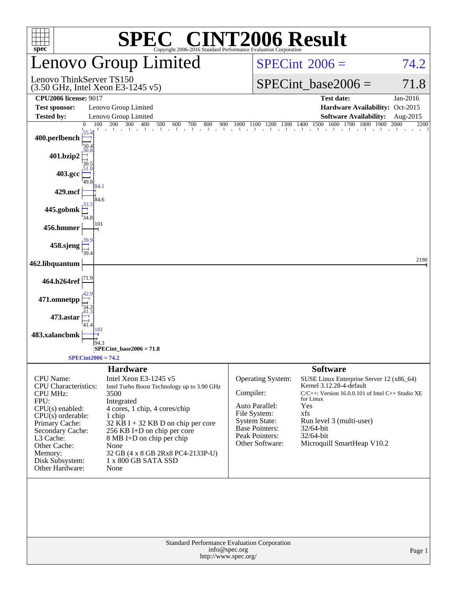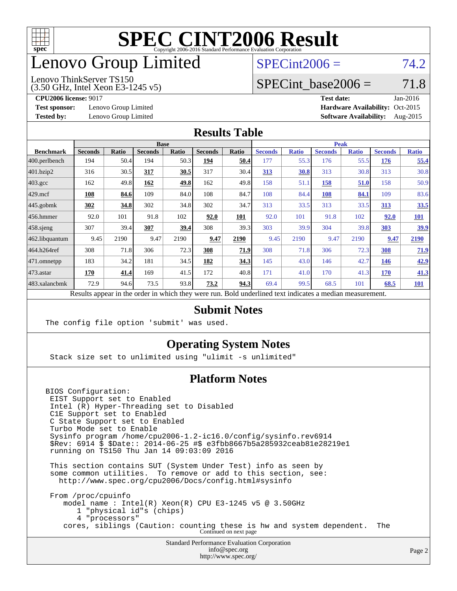

# enovo Group Limited

## $SPECint2006 = 74.2$  $SPECint2006 = 74.2$

#### Lenovo ThinkServer TS150

(3.50 GHz, Intel Xeon E3-1245 v5)

SPECint base2006 =  $71.8$ 

**[Test sponsor:](http://www.spec.org/auto/cpu2006/Docs/result-fields.html#Testsponsor)** Lenovo Group Limited **[Hardware Availability:](http://www.spec.org/auto/cpu2006/Docs/result-fields.html#HardwareAvailability)** Oct-2015

**[CPU2006 license:](http://www.spec.org/auto/cpu2006/Docs/result-fields.html#CPU2006license)** 9017 **[Test date:](http://www.spec.org/auto/cpu2006/Docs/result-fields.html#Testdate)** Jan-2016 **[Tested by:](http://www.spec.org/auto/cpu2006/Docs/result-fields.html#Testedby)** Lenovo Group Limited **[Software Availability:](http://www.spec.org/auto/cpu2006/Docs/result-fields.html#SoftwareAvailability)** Aug-2015

#### **[Results Table](http://www.spec.org/auto/cpu2006/Docs/result-fields.html#ResultsTable)**

|                                                                                                          | <b>Base</b>    |       |                |       |                | <b>Peak</b> |                |              |                |              |                |              |
|----------------------------------------------------------------------------------------------------------|----------------|-------|----------------|-------|----------------|-------------|----------------|--------------|----------------|--------------|----------------|--------------|
| <b>Benchmark</b>                                                                                         | <b>Seconds</b> | Ratio | <b>Seconds</b> | Ratio | <b>Seconds</b> | Ratio       | <b>Seconds</b> | <b>Ratio</b> | <b>Seconds</b> | <b>Ratio</b> | <b>Seconds</b> | <b>Ratio</b> |
| 400.perlbench                                                                                            | 194            | 50.4  | 194            | 50.3  | 194            | 50.4        | 177            | 55.3         | 176            | 55.5         | 176            | 55.4         |
| 401.bzip2                                                                                                | 316            | 30.5  | 317            | 30.5  | 317            | 30.4        | 313            | 30.8         | 313            | 30.8         | 313            | 30.8         |
| $403.\mathrm{gcc}$                                                                                       | 162            | 49.8  | 162            | 49.8  | 162            | 49.8        | 158            | 51.1         | 158            | 51.0         | 158            | 50.9         |
| $429$ mcf                                                                                                | 108            | 84.6  | 109            | 84.0  | 108            | 84.7        | 108            | 84.4         | 108            | 84.1         | 109            | 83.6         |
| $445$ .gobmk                                                                                             | 302            | 34.8  | 302            | 34.8  | 302            | 34.7        | 313            | 33.5         | 313            | 33.5         | 313            | 33.5         |
| 456.hmmer                                                                                                | 92.0           | 101   | 91.8           | 102   | 92.0           | 101         | 92.0           | 101          | 91.8           | 102          | 92.0           | <b>101</b>   |
| $458$ .sjeng                                                                                             | 307            | 39.4  | 307            | 39.4  | 308            | 39.3        | 303            | 39.9         | 304            | 39.8         | 303            | <u>39.9</u>  |
| 462.libquantum                                                                                           | 9.45           | 2190  | 9.47           | 2190  | 9.47           | 2190        | 9.45           | 2190         | 9.47           | 2190         | 9.47           | 2190         |
| 464.h264ref                                                                                              | 308            | 71.8  | 306            | 72.3  | 308            | 71.9        | 308            | 71.8         | 306            | 72.3         | 308            | 71.9         |
| 471.omnetpp                                                                                              | 183            | 34.2  | 181            | 34.5  | 182            | 34.3        | 145            | 43.0         | 146            | 42.7         | 146            | 42.9         |
| $ 473$ . astar                                                                                           | 170            | 41.4  | 169            | 41.5  | 172            | 40.8        | 171            | 41.0         | 170            | 41.3         | 170            | 41.3         |
| 483.xalancbmk                                                                                            | 72.9           | 94.6  | 73.5           | 93.8  | 73.2           | 94.3        | 69.4           | 99.5         | 68.5           | 101          | 68.5           | <b>101</b>   |
| Results appear in the order in which they were run. Bold underlined text indicates a median measurement. |                |       |                |       |                |             |                |              |                |              |                |              |

#### **[Submit Notes](http://www.spec.org/auto/cpu2006/Docs/result-fields.html#SubmitNotes)**

The config file option 'submit' was used.

#### **[Operating System Notes](http://www.spec.org/auto/cpu2006/Docs/result-fields.html#OperatingSystemNotes)**

Stack size set to unlimited using "ulimit -s unlimited"

#### **[Platform Notes](http://www.spec.org/auto/cpu2006/Docs/result-fields.html#PlatformNotes)**

BIOS Configuration: EIST Support set to Enabled Intel (R) Hyper-Threading set to Disabled C1E Support set to Enabled C State Support set to Enabled Turbo Mode set to Enable Sysinfo program /home/cpu2006-1.2-ic16.0/config/sysinfo.rev6914 \$Rev: 6914 \$ \$Date:: 2014-06-25 #\$ e3fbb8667b5a285932ceab81e28219e1 running on TS150 Thu Jan 14 09:03:09 2016 This section contains SUT (System Under Test) info as seen by some common utilities. To remove or add to this section, see: <http://www.spec.org/cpu2006/Docs/config.html#sysinfo>

 From /proc/cpuinfo model name : Intel(R) Xeon(R) CPU E3-1245 v5 @ 3.50GHz 1 "physical id"s (chips) 4 "processors" cores, siblings (Caution: counting these is hw and system dependent. The Continued on next page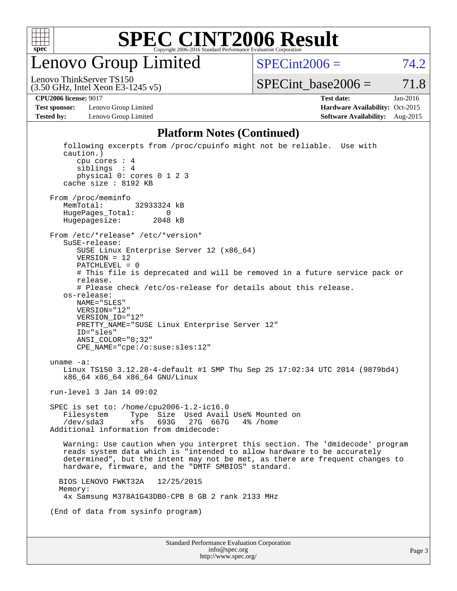

Lenovo Group Limited

 $SPECint2006 = 74.2$  $SPECint2006 = 74.2$ 

(3.50 GHz, Intel Xeon E3-1245 v5) Lenovo ThinkServer TS150

 $SPECTnt\_base2006 = 71.8$ 

**[Test sponsor:](http://www.spec.org/auto/cpu2006/Docs/result-fields.html#Testsponsor)** Lenovo Group Limited **[Hardware Availability:](http://www.spec.org/auto/cpu2006/Docs/result-fields.html#HardwareAvailability)** Oct-2015

**[CPU2006 license:](http://www.spec.org/auto/cpu2006/Docs/result-fields.html#CPU2006license)** 9017 **[Test date:](http://www.spec.org/auto/cpu2006/Docs/result-fields.html#Testdate)** Jan-2016 **[Tested by:](http://www.spec.org/auto/cpu2006/Docs/result-fields.html#Testedby)** Lenovo Group Limited **[Software Availability:](http://www.spec.org/auto/cpu2006/Docs/result-fields.html#SoftwareAvailability)** Aug-2015

#### **[Platform Notes \(Continued\)](http://www.spec.org/auto/cpu2006/Docs/result-fields.html#PlatformNotes)**

| cache size : 8192 KB<br>From /proc/meminfo                                                                                                                                                                                                                                                                                                                                                                                                                                             |  |
|----------------------------------------------------------------------------------------------------------------------------------------------------------------------------------------------------------------------------------------------------------------------------------------------------------------------------------------------------------------------------------------------------------------------------------------------------------------------------------------|--|
| MemTotal:<br>32933324 kB<br>HugePages_Total:<br>0<br>Hugepagesize:<br>2048 kB                                                                                                                                                                                                                                                                                                                                                                                                          |  |
| From /etc/*release* /etc/*version*<br>SuSE-release:<br>SUSE Linux Enterprise Server 12 (x86_64)<br>$VERSION = 12$<br>$PATCHLEVEL = 0$<br># This file is deprecated and will be removed in a future service pack or<br>release.<br># Please check /etc/os-release for details about this release.<br>os-release:<br>NAME="SLES"<br>VERSION="12"<br>VERSION ID="12"<br>PRETTY_NAME="SUSE Linux Enterprise Server 12"<br>ID="sles"<br>ANSI_COLOR="0;32"<br>CPE_NAME="cpe:/o:suse:sles:12" |  |
| uname $-a$ :<br>Linux TS150 3.12.28-4-default #1 SMP Thu Sep 25 17:02:34 UTC 2014 (9879bd4)<br>x86_64 x86_64 x86_64 GNU/Linux                                                                                                                                                                                                                                                                                                                                                          |  |
| run-level 3 Jan 14 09:02                                                                                                                                                                                                                                                                                                                                                                                                                                                               |  |
| SPEC is set to: /home/cpu2006-1.2-ic16.0<br>Type Size Used Avail Use% Mounted on<br>Filesystem<br>/dev/sda3<br>xfs<br>693G<br>27G 667G 4% / home<br>Additional information from dmidecode:                                                                                                                                                                                                                                                                                             |  |
| Warning: Use caution when you interpret this section. The 'dmidecode' program<br>reads system data which is "intended to allow hardware to be accurately<br>determined", but the intent may not be met, as there are frequent changes to<br>hardware, firmware, and the "DMTF SMBIOS" standard.                                                                                                                                                                                        |  |
| 12/25/2015<br>BIOS LENOVO FWKT32A<br>Memory:<br>4x Samsung M378A1G43DB0-CPB 8 GB 2 rank 2133 MHz                                                                                                                                                                                                                                                                                                                                                                                       |  |
| (End of data from sysinfo program)                                                                                                                                                                                                                                                                                                                                                                                                                                                     |  |
| Standard Performance Evaluation Corporation                                                                                                                                                                                                                                                                                                                                                                                                                                            |  |
| info@spec.org                                                                                                                                                                                                                                                                                                                                                                                                                                                                          |  |

<http://www.spec.org/>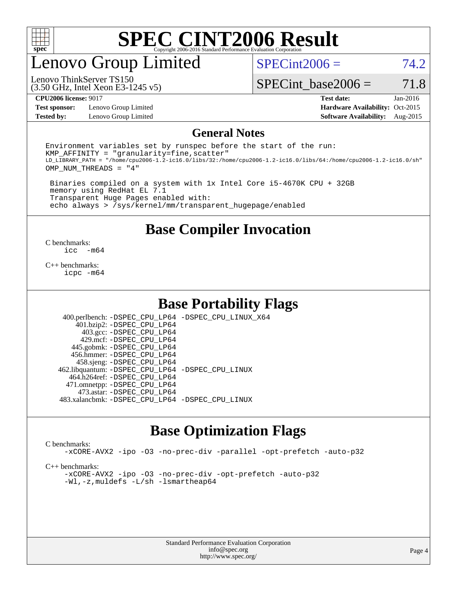

## enovo Group Limited

 $SPECint2006 = 74.2$  $SPECint2006 = 74.2$ 

(3.50 GHz, Intel Xeon E3-1245 v5) Lenovo ThinkServer TS150

SPECint base2006 =  $71.8$ 

**[Test sponsor:](http://www.spec.org/auto/cpu2006/Docs/result-fields.html#Testsponsor)** Lenovo Group Limited **[Hardware Availability:](http://www.spec.org/auto/cpu2006/Docs/result-fields.html#HardwareAvailability)** Oct-2015

**[CPU2006 license:](http://www.spec.org/auto/cpu2006/Docs/result-fields.html#CPU2006license)** 9017 **[Test date:](http://www.spec.org/auto/cpu2006/Docs/result-fields.html#Testdate)** Jan-2016 **[Tested by:](http://www.spec.org/auto/cpu2006/Docs/result-fields.html#Testedby)** Lenovo Group Limited **[Software Availability:](http://www.spec.org/auto/cpu2006/Docs/result-fields.html#SoftwareAvailability)** Aug-2015

#### **[General Notes](http://www.spec.org/auto/cpu2006/Docs/result-fields.html#GeneralNotes)**

Environment variables set by runspec before the start of the run:  $KMP$  AFFINITY = "granularity=fine, scatter" LD\_LIBRARY\_PATH = "/home/cpu2006-1.2-ic16.0/libs/32:/home/cpu2006-1.2-ic16.0/libs/64:/home/cpu2006-1.2-ic16.0/sh" OMP\_NUM\_THREADS = "4"

 Binaries compiled on a system with 1x Intel Core i5-4670K CPU + 32GB memory using RedHat EL 7.1 Transparent Huge Pages enabled with: echo always > /sys/kernel/mm/transparent\_hugepage/enabled

**[Base Compiler Invocation](http://www.spec.org/auto/cpu2006/Docs/result-fields.html#BaseCompilerInvocation)**

 $\frac{C \text{ benchmarks:}}{C \text{ C}}$ -m64

[C++ benchmarks:](http://www.spec.org/auto/cpu2006/Docs/result-fields.html#CXXbenchmarks) [icpc -m64](http://www.spec.org/cpu2006/results/res2016q1/cpu2006-20160125-38860.flags.html#user_CXXbase_intel_icpc_64bit_fc66a5337ce925472a5c54ad6a0de310)

#### **[Base Portability Flags](http://www.spec.org/auto/cpu2006/Docs/result-fields.html#BasePortabilityFlags)**

 400.perlbench: [-DSPEC\\_CPU\\_LP64](http://www.spec.org/cpu2006/results/res2016q1/cpu2006-20160125-38860.flags.html#b400.perlbench_basePORTABILITY_DSPEC_CPU_LP64) [-DSPEC\\_CPU\\_LINUX\\_X64](http://www.spec.org/cpu2006/results/res2016q1/cpu2006-20160125-38860.flags.html#b400.perlbench_baseCPORTABILITY_DSPEC_CPU_LINUX_X64) 401.bzip2: [-DSPEC\\_CPU\\_LP64](http://www.spec.org/cpu2006/results/res2016q1/cpu2006-20160125-38860.flags.html#suite_basePORTABILITY401_bzip2_DSPEC_CPU_LP64) 403.gcc: [-DSPEC\\_CPU\\_LP64](http://www.spec.org/cpu2006/results/res2016q1/cpu2006-20160125-38860.flags.html#suite_basePORTABILITY403_gcc_DSPEC_CPU_LP64) 429.mcf: [-DSPEC\\_CPU\\_LP64](http://www.spec.org/cpu2006/results/res2016q1/cpu2006-20160125-38860.flags.html#suite_basePORTABILITY429_mcf_DSPEC_CPU_LP64) 445.gobmk: [-DSPEC\\_CPU\\_LP64](http://www.spec.org/cpu2006/results/res2016q1/cpu2006-20160125-38860.flags.html#suite_basePORTABILITY445_gobmk_DSPEC_CPU_LP64) 456.hmmer: [-DSPEC\\_CPU\\_LP64](http://www.spec.org/cpu2006/results/res2016q1/cpu2006-20160125-38860.flags.html#suite_basePORTABILITY456_hmmer_DSPEC_CPU_LP64) 458.sjeng: [-DSPEC\\_CPU\\_LP64](http://www.spec.org/cpu2006/results/res2016q1/cpu2006-20160125-38860.flags.html#suite_basePORTABILITY458_sjeng_DSPEC_CPU_LP64) 462.libquantum: [-DSPEC\\_CPU\\_LP64](http://www.spec.org/cpu2006/results/res2016q1/cpu2006-20160125-38860.flags.html#suite_basePORTABILITY462_libquantum_DSPEC_CPU_LP64) [-DSPEC\\_CPU\\_LINUX](http://www.spec.org/cpu2006/results/res2016q1/cpu2006-20160125-38860.flags.html#b462.libquantum_baseCPORTABILITY_DSPEC_CPU_LINUX) 464.h264ref: [-DSPEC\\_CPU\\_LP64](http://www.spec.org/cpu2006/results/res2016q1/cpu2006-20160125-38860.flags.html#suite_basePORTABILITY464_h264ref_DSPEC_CPU_LP64) 471.omnetpp: [-DSPEC\\_CPU\\_LP64](http://www.spec.org/cpu2006/results/res2016q1/cpu2006-20160125-38860.flags.html#suite_basePORTABILITY471_omnetpp_DSPEC_CPU_LP64) 473.astar: [-DSPEC\\_CPU\\_LP64](http://www.spec.org/cpu2006/results/res2016q1/cpu2006-20160125-38860.flags.html#suite_basePORTABILITY473_astar_DSPEC_CPU_LP64) 483.xalancbmk: [-DSPEC\\_CPU\\_LP64](http://www.spec.org/cpu2006/results/res2016q1/cpu2006-20160125-38860.flags.html#suite_basePORTABILITY483_xalancbmk_DSPEC_CPU_LP64) [-DSPEC\\_CPU\\_LINUX](http://www.spec.org/cpu2006/results/res2016q1/cpu2006-20160125-38860.flags.html#b483.xalancbmk_baseCXXPORTABILITY_DSPEC_CPU_LINUX)

## **[Base Optimization Flags](http://www.spec.org/auto/cpu2006/Docs/result-fields.html#BaseOptimizationFlags)**

[C benchmarks](http://www.spec.org/auto/cpu2006/Docs/result-fields.html#Cbenchmarks):

[-xCORE-AVX2](http://www.spec.org/cpu2006/results/res2016q1/cpu2006-20160125-38860.flags.html#user_CCbase_f-xAVX2_5f5fc0cbe2c9f62c816d3e45806c70d7) [-ipo](http://www.spec.org/cpu2006/results/res2016q1/cpu2006-20160125-38860.flags.html#user_CCbase_f-ipo) [-O3](http://www.spec.org/cpu2006/results/res2016q1/cpu2006-20160125-38860.flags.html#user_CCbase_f-O3) [-no-prec-div](http://www.spec.org/cpu2006/results/res2016q1/cpu2006-20160125-38860.flags.html#user_CCbase_f-no-prec-div) [-parallel](http://www.spec.org/cpu2006/results/res2016q1/cpu2006-20160125-38860.flags.html#user_CCbase_f-parallel) [-opt-prefetch](http://www.spec.org/cpu2006/results/res2016q1/cpu2006-20160125-38860.flags.html#user_CCbase_f-opt-prefetch) [-auto-p32](http://www.spec.org/cpu2006/results/res2016q1/cpu2006-20160125-38860.flags.html#user_CCbase_f-auto-p32)

[C++ benchmarks:](http://www.spec.org/auto/cpu2006/Docs/result-fields.html#CXXbenchmarks)

[-xCORE-AVX2](http://www.spec.org/cpu2006/results/res2016q1/cpu2006-20160125-38860.flags.html#user_CXXbase_f-xAVX2_5f5fc0cbe2c9f62c816d3e45806c70d7) [-ipo](http://www.spec.org/cpu2006/results/res2016q1/cpu2006-20160125-38860.flags.html#user_CXXbase_f-ipo) [-O3](http://www.spec.org/cpu2006/results/res2016q1/cpu2006-20160125-38860.flags.html#user_CXXbase_f-O3) [-no-prec-div](http://www.spec.org/cpu2006/results/res2016q1/cpu2006-20160125-38860.flags.html#user_CXXbase_f-no-prec-div) [-opt-prefetch](http://www.spec.org/cpu2006/results/res2016q1/cpu2006-20160125-38860.flags.html#user_CXXbase_f-opt-prefetch) [-auto-p32](http://www.spec.org/cpu2006/results/res2016q1/cpu2006-20160125-38860.flags.html#user_CXXbase_f-auto-p32) [-Wl,-z,muldefs](http://www.spec.org/cpu2006/results/res2016q1/cpu2006-20160125-38860.flags.html#user_CXXbase_link_force_multiple1_74079c344b956b9658436fd1b6dd3a8a) [-L/sh -lsmartheap64](http://www.spec.org/cpu2006/results/res2016q1/cpu2006-20160125-38860.flags.html#user_CXXbase_SmartHeap64_ed4ef857ce90951921efb0d91eb88472)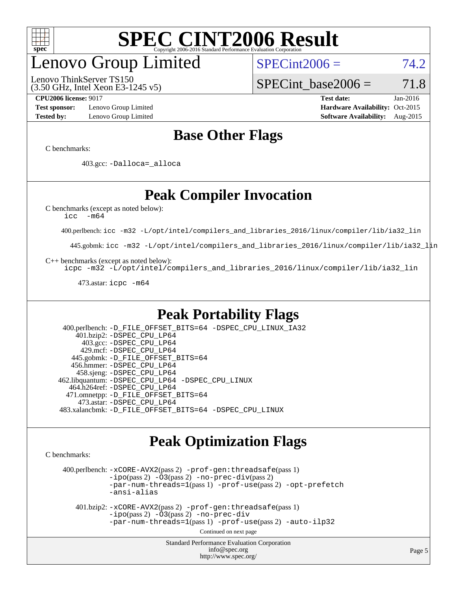

# enovo Group Limited

(3.50 GHz, Intel Xeon E3-1245 v5) Lenovo ThinkServer TS150

 $SPECint2006 = 74.2$  $SPECint2006 = 74.2$ 

SPECint base2006 =  $71.8$ 

**[Test sponsor:](http://www.spec.org/auto/cpu2006/Docs/result-fields.html#Testsponsor)** Lenovo Group Limited **[Hardware Availability:](http://www.spec.org/auto/cpu2006/Docs/result-fields.html#HardwareAvailability)** Oct-2015

**[CPU2006 license:](http://www.spec.org/auto/cpu2006/Docs/result-fields.html#CPU2006license)** 9017 **[Test date:](http://www.spec.org/auto/cpu2006/Docs/result-fields.html#Testdate)** Jan-2016 **[Tested by:](http://www.spec.org/auto/cpu2006/Docs/result-fields.html#Testedby)** Lenovo Group Limited **[Software Availability:](http://www.spec.org/auto/cpu2006/Docs/result-fields.html#SoftwareAvailability)** Aug-2015

## **[Base Other Flags](http://www.spec.org/auto/cpu2006/Docs/result-fields.html#BaseOtherFlags)**

[C benchmarks](http://www.spec.org/auto/cpu2006/Docs/result-fields.html#Cbenchmarks):

403.gcc: [-Dalloca=\\_alloca](http://www.spec.org/cpu2006/results/res2016q1/cpu2006-20160125-38860.flags.html#b403.gcc_baseEXTRA_CFLAGS_Dalloca_be3056838c12de2578596ca5467af7f3)

## **[Peak Compiler Invocation](http://www.spec.org/auto/cpu2006/Docs/result-fields.html#PeakCompilerInvocation)**

[C benchmarks \(except as noted below\)](http://www.spec.org/auto/cpu2006/Docs/result-fields.html#Cbenchmarksexceptasnotedbelow):

[icc -m64](http://www.spec.org/cpu2006/results/res2016q1/cpu2006-20160125-38860.flags.html#user_CCpeak_intel_icc_64bit_f346026e86af2a669e726fe758c88044)

400.perlbench: [icc -m32 -L/opt/intel/compilers\\_and\\_libraries\\_2016/linux/compiler/lib/ia32\\_lin](http://www.spec.org/cpu2006/results/res2016q1/cpu2006-20160125-38860.flags.html#user_peakCCLD400_perlbench_intel_icc_e10256ba5924b668798078a321b0cb3f)

445.gobmk: [icc -m32 -L/opt/intel/compilers\\_and\\_libraries\\_2016/linux/compiler/lib/ia32\\_lin](http://www.spec.org/cpu2006/results/res2016q1/cpu2006-20160125-38860.flags.html#user_peakCCLD445_gobmk_intel_icc_e10256ba5924b668798078a321b0cb3f)

[C++ benchmarks \(except as noted below\):](http://www.spec.org/auto/cpu2006/Docs/result-fields.html#CXXbenchmarksexceptasnotedbelow)

[icpc -m32 -L/opt/intel/compilers\\_and\\_libraries\\_2016/linux/compiler/lib/ia32\\_lin](http://www.spec.org/cpu2006/results/res2016q1/cpu2006-20160125-38860.flags.html#user_CXXpeak_intel_icpc_b4f50a394bdb4597aa5879c16bc3f5c5)

473.astar: [icpc -m64](http://www.spec.org/cpu2006/results/res2016q1/cpu2006-20160125-38860.flags.html#user_peakCXXLD473_astar_intel_icpc_64bit_fc66a5337ce925472a5c54ad6a0de310)

## **[Peak Portability Flags](http://www.spec.org/auto/cpu2006/Docs/result-fields.html#PeakPortabilityFlags)**

 400.perlbench: [-D\\_FILE\\_OFFSET\\_BITS=64](http://www.spec.org/cpu2006/results/res2016q1/cpu2006-20160125-38860.flags.html#user_peakPORTABILITY400_perlbench_file_offset_bits_64_438cf9856305ebd76870a2c6dc2689ab) [-DSPEC\\_CPU\\_LINUX\\_IA32](http://www.spec.org/cpu2006/results/res2016q1/cpu2006-20160125-38860.flags.html#b400.perlbench_peakCPORTABILITY_DSPEC_CPU_LINUX_IA32) 401.bzip2: [-DSPEC\\_CPU\\_LP64](http://www.spec.org/cpu2006/results/res2016q1/cpu2006-20160125-38860.flags.html#suite_peakPORTABILITY401_bzip2_DSPEC_CPU_LP64) 403.gcc: [-DSPEC\\_CPU\\_LP64](http://www.spec.org/cpu2006/results/res2016q1/cpu2006-20160125-38860.flags.html#suite_peakPORTABILITY403_gcc_DSPEC_CPU_LP64) 429.mcf: [-DSPEC\\_CPU\\_LP64](http://www.spec.org/cpu2006/results/res2016q1/cpu2006-20160125-38860.flags.html#suite_peakPORTABILITY429_mcf_DSPEC_CPU_LP64) 445.gobmk: [-D\\_FILE\\_OFFSET\\_BITS=64](http://www.spec.org/cpu2006/results/res2016q1/cpu2006-20160125-38860.flags.html#user_peakPORTABILITY445_gobmk_file_offset_bits_64_438cf9856305ebd76870a2c6dc2689ab) 456.hmmer: [-DSPEC\\_CPU\\_LP64](http://www.spec.org/cpu2006/results/res2016q1/cpu2006-20160125-38860.flags.html#suite_peakPORTABILITY456_hmmer_DSPEC_CPU_LP64) 458.sjeng: [-DSPEC\\_CPU\\_LP64](http://www.spec.org/cpu2006/results/res2016q1/cpu2006-20160125-38860.flags.html#suite_peakPORTABILITY458_sjeng_DSPEC_CPU_LP64) 462.libquantum: [-DSPEC\\_CPU\\_LP64](http://www.spec.org/cpu2006/results/res2016q1/cpu2006-20160125-38860.flags.html#suite_peakPORTABILITY462_libquantum_DSPEC_CPU_LP64) [-DSPEC\\_CPU\\_LINUX](http://www.spec.org/cpu2006/results/res2016q1/cpu2006-20160125-38860.flags.html#b462.libquantum_peakCPORTABILITY_DSPEC_CPU_LINUX) 464.h264ref: [-DSPEC\\_CPU\\_LP64](http://www.spec.org/cpu2006/results/res2016q1/cpu2006-20160125-38860.flags.html#suite_peakPORTABILITY464_h264ref_DSPEC_CPU_LP64) 471.omnetpp: [-D\\_FILE\\_OFFSET\\_BITS=64](http://www.spec.org/cpu2006/results/res2016q1/cpu2006-20160125-38860.flags.html#user_peakPORTABILITY471_omnetpp_file_offset_bits_64_438cf9856305ebd76870a2c6dc2689ab) 473.astar: [-DSPEC\\_CPU\\_LP64](http://www.spec.org/cpu2006/results/res2016q1/cpu2006-20160125-38860.flags.html#suite_peakPORTABILITY473_astar_DSPEC_CPU_LP64) 483.xalancbmk: [-D\\_FILE\\_OFFSET\\_BITS=64](http://www.spec.org/cpu2006/results/res2016q1/cpu2006-20160125-38860.flags.html#user_peakPORTABILITY483_xalancbmk_file_offset_bits_64_438cf9856305ebd76870a2c6dc2689ab) [-DSPEC\\_CPU\\_LINUX](http://www.spec.org/cpu2006/results/res2016q1/cpu2006-20160125-38860.flags.html#b483.xalancbmk_peakCXXPORTABILITY_DSPEC_CPU_LINUX)

## **[Peak Optimization Flags](http://www.spec.org/auto/cpu2006/Docs/result-fields.html#PeakOptimizationFlags)**

[C benchmarks](http://www.spec.org/auto/cpu2006/Docs/result-fields.html#Cbenchmarks):

 400.perlbench: [-xCORE-AVX2](http://www.spec.org/cpu2006/results/res2016q1/cpu2006-20160125-38860.flags.html#user_peakPASS2_CFLAGSPASS2_LDCFLAGS400_perlbench_f-xAVX2_5f5fc0cbe2c9f62c816d3e45806c70d7)(pass 2) [-prof-gen:threadsafe](http://www.spec.org/cpu2006/results/res2016q1/cpu2006-20160125-38860.flags.html#user_peakPASS1_CFLAGSPASS1_LDCFLAGS400_perlbench_prof_gen_21a26eb79f378b550acd7bec9fe4467a)(pass 1)  $-i\text{po}(pass 2) -\tilde{O}3(pass 2)$  [-no-prec-div](http://www.spec.org/cpu2006/results/res2016q1/cpu2006-20160125-38860.flags.html#user_peakPASS2_CFLAGSPASS2_LDCFLAGS400_perlbench_f-no-prec-div)(pass 2) [-par-num-threads=1](http://www.spec.org/cpu2006/results/res2016q1/cpu2006-20160125-38860.flags.html#user_peakPASS1_CFLAGSPASS1_LDCFLAGS400_perlbench_par_num_threads_786a6ff141b4e9e90432e998842df6c2)(pass 1) [-prof-use](http://www.spec.org/cpu2006/results/res2016q1/cpu2006-20160125-38860.flags.html#user_peakPASS2_CFLAGSPASS2_LDCFLAGS400_perlbench_prof_use_bccf7792157ff70d64e32fe3e1250b55)(pass 2) [-opt-prefetch](http://www.spec.org/cpu2006/results/res2016q1/cpu2006-20160125-38860.flags.html#user_peakCOPTIMIZE400_perlbench_f-opt-prefetch) [-ansi-alias](http://www.spec.org/cpu2006/results/res2016q1/cpu2006-20160125-38860.flags.html#user_peakCOPTIMIZE400_perlbench_f-ansi-alias)

 401.bzip2: [-xCORE-AVX2](http://www.spec.org/cpu2006/results/res2016q1/cpu2006-20160125-38860.flags.html#user_peakPASS2_CFLAGSPASS2_LDCFLAGS401_bzip2_f-xAVX2_5f5fc0cbe2c9f62c816d3e45806c70d7)(pass 2) [-prof-gen:threadsafe](http://www.spec.org/cpu2006/results/res2016q1/cpu2006-20160125-38860.flags.html#user_peakPASS1_CFLAGSPASS1_LDCFLAGS401_bzip2_prof_gen_21a26eb79f378b550acd7bec9fe4467a)(pass 1)  $-i\text{po}(\text{pass 2})$  - $\overline{O}3(\text{pass 2})$  [-no-prec-div](http://www.spec.org/cpu2006/results/res2016q1/cpu2006-20160125-38860.flags.html#user_peakCOPTIMIZEPASS2_CFLAGSPASS2_LDCFLAGS401_bzip2_f-no-prec-div) [-par-num-threads=1](http://www.spec.org/cpu2006/results/res2016q1/cpu2006-20160125-38860.flags.html#user_peakPASS1_CFLAGSPASS1_LDCFLAGS401_bzip2_par_num_threads_786a6ff141b4e9e90432e998842df6c2)(pass 1) [-prof-use](http://www.spec.org/cpu2006/results/res2016q1/cpu2006-20160125-38860.flags.html#user_peakPASS2_CFLAGSPASS2_LDCFLAGS401_bzip2_prof_use_bccf7792157ff70d64e32fe3e1250b55)(pass 2) [-auto-ilp32](http://www.spec.org/cpu2006/results/res2016q1/cpu2006-20160125-38860.flags.html#user_peakCOPTIMIZE401_bzip2_f-auto-ilp32)

Continued on next page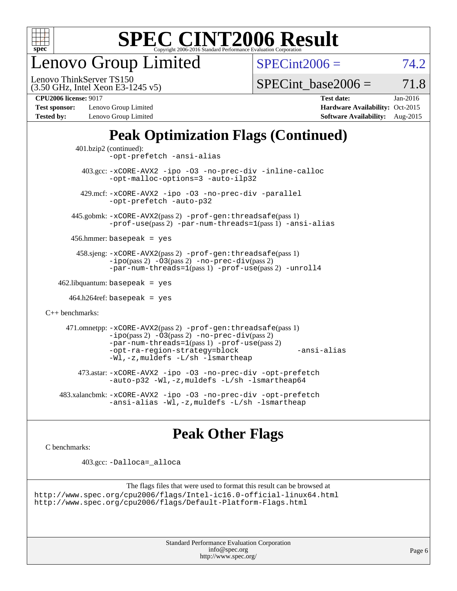

enovo Group Limited

 $SPECint2006 = 74.2$  $SPECint2006 = 74.2$ 

(3.50 GHz, Intel Xeon E3-1245 v5) Lenovo ThinkServer TS150

SPECint base2006 =  $71.8$ 

**[Test sponsor:](http://www.spec.org/auto/cpu2006/Docs/result-fields.html#Testsponsor)** Lenovo Group Limited **[Hardware Availability:](http://www.spec.org/auto/cpu2006/Docs/result-fields.html#HardwareAvailability)** Oct-2015

**[CPU2006 license:](http://www.spec.org/auto/cpu2006/Docs/result-fields.html#CPU2006license)** 9017 **[Test date:](http://www.spec.org/auto/cpu2006/Docs/result-fields.html#Testdate)** Jan-2016 **[Tested by:](http://www.spec.org/auto/cpu2006/Docs/result-fields.html#Testedby)** Lenovo Group Limited **[Software Availability:](http://www.spec.org/auto/cpu2006/Docs/result-fields.html#SoftwareAvailability)** Aug-2015

## **[Peak Optimization Flags \(Continued\)](http://www.spec.org/auto/cpu2006/Docs/result-fields.html#PeakOptimizationFlags)**

```
 401.bzip2 (continued):
                -opt-prefetch -ansi-alias
          403.gcc: -xCORE-AVX2 -ipo -O3 -no-prec-div -inline-calloc
                -opt-malloc-options=3 -auto-ilp32
         429.mcf: -xCORE-AVX2 -ipo -O3 -no-prec-div -parallel
                -opt-prefetch -auto-p32
       445.gobmk: -xCORE-AVX2(pass 2) -prof-gen:threadsafe(pass 1)
                -prof-use(pass 2) -par-num-threads=1(pass 1) -ansi-alias
       456.hmmer: basepeak = yes
        458.sjeng: -xCORE-AVX2(pass 2) -prof-gen:threadsafe(pass 1)
                -i\text{po}(pass 2) -\tilde{O}3(pass 2)-no-prec-div(pass 2)
                -par-num-threads=1(pass 1) -prof-use(pass 2) -unroll4
   462.libquantum: basepeak = yes
     464.h264ref: basepeak = yes
C++ benchmarks: 
      471.omnetpp: -xCORE-AVX2(pass 2) -prof-gen:threadsafe(pass 1)
                -i\text{po}(pass 2) -\overline{O}3(pass 2) -no-\overline{prec}\-div(pass 2)-par-num-threads=1(pass 1) -prof-use(pass 2)
                -opt-ra-region-strategy=block -ansi-alias
                -Wl,-z,muldefs -L/sh -lsmartheap
         473.astar: -xCORE-AVX2 -ipo -O3 -no-prec-div -opt-prefetch
                -auto-p32 -Wl,-z,muldefs -L/sh -lsmartheap64
    483.xalancbmk: -xCORE-AVX2 -ipo -O3 -no-prec-div -opt-prefetch
                -ansi-alias -Wl,-z,muldefs -L/sh -lsmartheap
```
## **[Peak Other Flags](http://www.spec.org/auto/cpu2006/Docs/result-fields.html#PeakOtherFlags)**

[C benchmarks](http://www.spec.org/auto/cpu2006/Docs/result-fields.html#Cbenchmarks):

403.gcc: [-Dalloca=\\_alloca](http://www.spec.org/cpu2006/results/res2016q1/cpu2006-20160125-38860.flags.html#b403.gcc_peakEXTRA_CFLAGS_Dalloca_be3056838c12de2578596ca5467af7f3)

```
The flags files that were used to format this result can be browsed at
http://www.spec.org/cpu2006/flags/Intel-ic16.0-official-linux64.html
http://www.spec.org/cpu2006/flags/Default-Platform-Flags.html
```